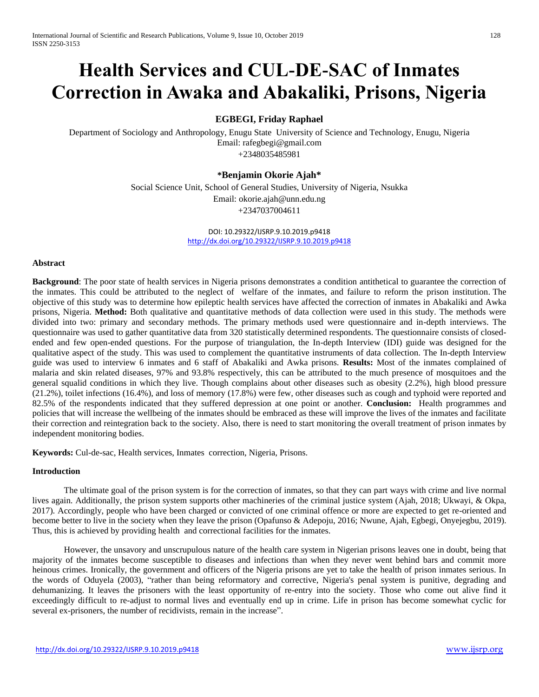# **Health Services and CUL-DE-SAC of Inmates Correction in Awaka and Abakaliki, Prisons, Nigeria**

## **EGBEGI, Friday Raphael**

Department of Sociology and Anthropology, Enugu State University of Science and Technology, Enugu, Nigeria Email: rafegbegi@gmail.com +2348035485981

## **\*Benjamin Okorie Ajah\***

Social Science Unit, School of General Studies, University of Nigeria, Nsukka Email: okorie.ajah@unn.edu.ng +2347037004611

> DOI: 10.29322/IJSRP.9.10.2019.p9418 <http://dx.doi.org/10.29322/IJSRP.9.10.2019.p9418>

### **Abstract**

**Background**: The poor state of health services in Nigeria prisons demonstrates a condition antithetical to guarantee the correction of the inmates. This could be attributed to the neglect of welfare of the inmates, and failure to reform the prison institution. The objective of this study was to determine how epileptic health services have affected the correction of inmates in Abakaliki and Awka prisons, Nigeria. **Method:** Both qualitative and quantitative methods of data collection were used in this study. The methods were divided into two: primary and secondary methods. The primary methods used were questionnaire and in-depth interviews. The questionnaire was used to gather quantitative data from 320 statistically determined respondents. The questionnaire consists of closedended and few open-ended questions. For the purpose of triangulation, the In-depth Interview (IDI) guide was designed for the qualitative aspect of the study. This was used to complement the quantitative instruments of data collection. The In-depth Interview guide was used to interview 6 inmates and 6 staff of Abakaliki and Awka prisons. **Results:** Most of the inmates complained of malaria and skin related diseases, 97% and 93.8% respectively, this can be attributed to the much presence of mosquitoes and the general squalid conditions in which they live. Though complains about other diseases such as obesity (2.2%), high blood pressure (21.2%), toilet infections (16.4%), and loss of memory (17.8%) were few, other diseases such as cough and typhoid were reported and 82.5% of the respondents indicated that they suffered depression at one point or another. **Conclusion:** Health programmes and policies that will increase the wellbeing of the inmates should be embraced as these will improve the lives of the inmates and facilitate their correction and reintegration back to the society. Also, there is need to start monitoring the overall treatment of prison inmates by independent monitoring bodies.

**Keywords:** Cul-de-sac, Health services, Inmates correction, Nigeria, Prisons.

### **Introduction**

The ultimate goal of the prison system is for the correction of inmates, so that they can part ways with crime and live normal lives again. Additionally, the prison system supports other machineries of the criminal justice system (Ajah, 2018; Ukwayi, & Okpa, 2017). Accordingly, people who have been charged or convicted of one criminal offence or more are expected to get re-oriented and become better to live in the society when they leave the prison (Opafunso & Adepoju, 2016; Nwune, Ajah, Egbegi, Onyejegbu, 2019). Thus, this is achieved by providing health and correctional facilities for the inmates.

However, the unsavory and unscrupulous nature of the health care system in Nigerian prisons leaves one in doubt, being that majority of the inmates become susceptible to diseases and infections than when they never went behind bars and commit more heinous crimes. Ironically, the government and officers of the Nigeria prisons are yet to take the health of prison inmates serious. In the words of Oduyela (2003), "rather than being reformatory and corrective, Nigeria's penal system is punitive, degrading and dehumanizing. It leaves the prisoners with the least opportunity of re-entry into the society. Those who come out alive find it exceedingly difficult to re-adjust to normal lives and eventually end up in crime. Life in prison has become somewhat cyclic for several ex-prisoners, the number of recidivists, remain in the increase".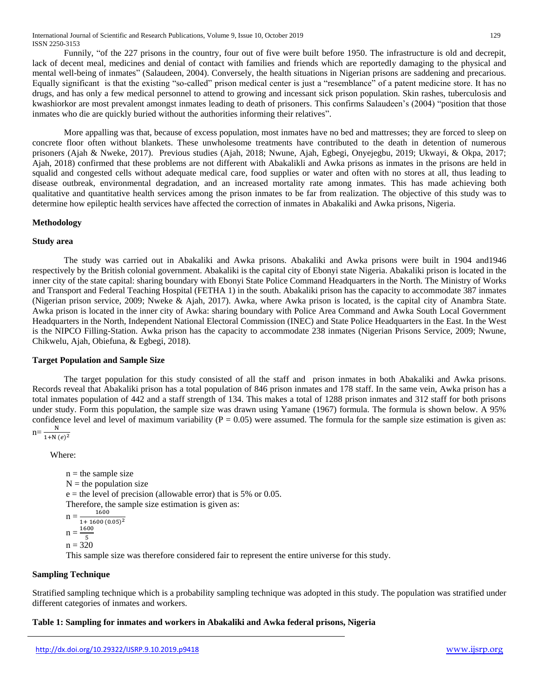Funnily, "of the 227 prisons in the country, four out of five were built before 1950. The infrastructure is old and decrepit, lack of decent meal, medicines and denial of contact with families and friends which are reportedly damaging to the physical and mental well-being of inmates" (Salaudeen, 2004). Conversely, the health situations in Nigerian prisons are saddening and precarious. Equally significant is that the existing "so-called" prison medical center is just a "resemblance" of a patent medicine store. It has no drugs, and has only a few medical personnel to attend to growing and incessant sick prison population. Skin rashes, tuberculosis and kwashiorkor are most prevalent amongst inmates leading to death of prisoners. This confirms Salaudeen's (2004) "position that those inmates who die are quickly buried without the authorities informing their relatives".

More appalling was that, because of excess population, most inmates have no bed and mattresses; they are forced to sleep on concrete floor often without blankets. These unwholesome treatments have contributed to the death in detention of numerous prisoners (Ajah & Nweke, 2017). Previous studies (Ajah, 2018; Nwune, Ajah, Egbegi, Onyejegbu, 2019; Ukwayi, & Okpa, 2017; Ajah, 2018) confirmed that these problems are not different with Abakalikli and Awka prisons as inmates in the prisons are held in squalid and congested cells without adequate medical care, food supplies or water and often with no stores at all, thus leading to disease outbreak, environmental degradation, and an increased mortality rate among inmates. This has made achieving both qualitative and quantitative health services among the prison inmates to be far from realization. The objective of this study was to determine how epileptic health services have affected the correction of inmates in Abakaliki and Awka prisons, Nigeria.

## **Methodology**

## **Study area**

The study was carried out in Abakaliki and Awka prisons. Abakaliki and Awka prisons were built in 1904 and1946 respectively by the British colonial government. Abakaliki is the capital city of Ebonyi state Nigeria. Abakaliki prison is located in the inner city of the state capital: sharing boundary with Ebonyi State Police Command Headquarters in the North. The Ministry of Works and Transport and Federal Teaching Hospital (FETHA 1) in the south. Abakaliki prison has the capacity to accommodate 387 inmates (Nigerian prison service, 2009; Nweke & Ajah, 2017). Awka, where Awka prison is located, is the capital city of Anambra State. Awka prison is located in the inner city of Awka: sharing boundary with Police Area Command and Awka South Local Government Headquarters in the North, Independent National Electoral Commission (INEC) and State Police Headquarters in the East. In the West is the NIPCO Filling-Station. Awka prison has the capacity to accommodate 238 inmates (Nigerian Prisons Service, 2009; Nwune, Chikwelu, Ajah, Obiefuna, & Egbegi, 2018).

## **Target Population and Sample Size**

The target population for this study consisted of all the staff and prison inmates in both Abakaliki and Awka prisons. Records reveal that Abakaliki prison has a total population of 846 prison inmates and 178 staff. In the same vein, Awka prison has a total inmates population of 442 and a staff strength of 134. This makes a total of 1288 prison inmates and 312 staff for both prisons under study. Form this population, the sample size was drawn using Yamane (1967) formula. The formula is shown below. A 95% confidence level and level of maximum variability ( $P = 0.05$ ) were assumed. The formula for the sample size estimation is given as:  $n = \frac{N}{1 + N (e)^2}$ N

$$
\frac{1}{2} \frac{1}{2} \frac{1}{2} \frac{1}{2} \frac{1}{2} \frac{1}{2} \frac{1}{2} \frac{1}{2} \frac{1}{2} \frac{1}{2} \frac{1}{2} \frac{1}{2} \frac{1}{2} \frac{1}{2} \frac{1}{2} \frac{1}{2} \frac{1}{2} \frac{1}{2} \frac{1}{2} \frac{1}{2} \frac{1}{2} \frac{1}{2} \frac{1}{2} \frac{1}{2} \frac{1}{2} \frac{1}{2} \frac{1}{2} \frac{1}{2} \frac{1}{2} \frac{1}{2} \frac{1}{2} \frac{1}{2} \frac{1}{2} \frac{1}{2} \frac{1}{2} \frac{1}{2} \frac{1}{2} \frac{1}{2} \frac{1}{2} \frac{1}{2} \frac{1}{2} \frac{1}{2} \frac{1}{2} \frac{1}{2} \frac{1}{2} \frac{1}{2} \frac{1}{2} \frac{1}{2} \frac{1}{2} \frac{1}{2} \frac{1}{2} \frac{1}{2} \frac{1}{2} \frac{1}{2} \frac{1}{2} \frac{1}{2} \frac{1}{2} \frac{1}{2} \frac{1}{2} \frac{1}{2} \frac{1}{2} \frac{1}{2} \frac{1}{2} \frac{1}{2} \frac{1}{2} \frac{1}{2} \frac{1}{2} \frac{1}{2} \frac{1}{2} \frac{1}{2} \frac{1}{2} \frac{1}{2} \frac{1}{2} \frac{1}{2} \frac{1}{2} \frac{1}{2} \frac{1}{2} \frac{1}{2} \frac{1}{2} \frac{1}{2} \frac{1}{2} \frac{1}{2} \frac{1}{2} \frac{1}{2} \frac{1}{2} \frac{1}{2} \frac{1}{2} \frac{1}{2} \frac{1}{2} \frac{1}{2} \frac{1}{2} \frac{1}{2} \frac{1}{2} \frac{1}{2} \frac{1}{2} \frac{1}{2} \frac{1}{2} \frac{1}{2} \frac{1}{2} \frac{1}{2} \frac{1}{2} \frac{1}{2} \frac{1}{2} \frac{1}{2} \frac{1}{2} \frac{1}{2} \frac{1}{2} \frac{1}{2} \frac{1
$$

Where:

 $n =$  the sample size  $N =$  the population size  $e$  = the level of precision (allowable error) that is 5% or 0.05. Therefore, the sample size estimation is given as:  $n =$ 1600  $1+1600(0.05)^2$  $n = \frac{1600}{5}$ 5  $n = 320$ 

This sample size was therefore considered fair to represent the entire universe for this study.

## **Sampling Technique**

Stratified sampling technique which is a probability sampling technique was adopted in this study. The population was stratified under different categories of inmates and workers.

## **Table 1: Sampling for inmates and workers in Abakaliki and Awka federal prisons, Nigeria**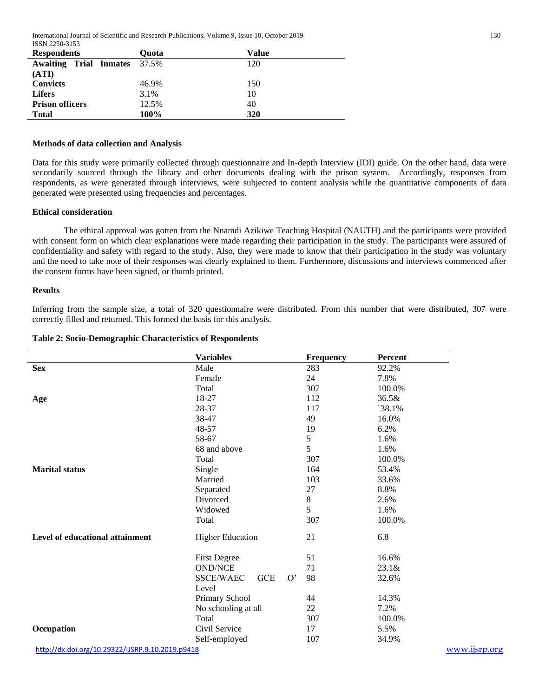International Journal of Scientific and Research Publications, Volume 9, Issue 10, October 2019 130 ISSN 2250-3153

| <b>Respondents</b>                  | Ouota | Value |
|-------------------------------------|-------|-------|
| <b>Awaiting Trial Inmates</b> 37.5% |       | 120   |
| (ATI)                               |       |       |
| <b>Convicts</b>                     | 46.9% | 150   |
| <b>Lifers</b>                       | 3.1%  | 10    |
| <b>Prison officers</b>              | 12.5% | 40    |
| <b>Total</b>                        | 100%  | 320   |

#### **Methods of data collection and Analysis**

Data for this study were primarily collected through questionnaire and In-depth Interview (IDI) guide. On the other hand, data were secondarily sourced through the library and other documents dealing with the prison system. Accordingly, responses from respondents, as were generated through interviews, were subjected to content analysis while the quantitative components of data generated were presented using frequencies and percentages.

#### **Ethical consideration**

The ethical approval was gotten from the Nnamdi Azikiwe Teaching Hospital (NAUTH) and the participants were provided with consent form on which clear explanations were made regarding their participation in the study. The participants were assured of confidentiality and safety with regard to the study. Also, they were made to know that their participation in the study was voluntary and the need to take note of their responses was clearly explained to them. Furthermore, discussions and interviews commenced after the consent forms have been signed, or thumb printed.

#### **Results**

Inferring from the sample size, a total of 320 questionnaire were distributed. From this number that were distributed, 307 were correctly filled and returned. This formed the basis for this analysis.

#### **Table 2: Socio-Demographic Characteristics of Respondents**

|                                                  | <b>Variables</b>              | Frequency | Percent       |
|--------------------------------------------------|-------------------------------|-----------|---------------|
| <b>Sex</b>                                       | Male                          | 283       | 92.2%         |
|                                                  | Female                        | 24        | 7.8%          |
|                                                  | Total                         | 307       | 100.0%        |
| Age                                              | 18-27                         | 112       | 36.5&         |
|                                                  | 28-37                         | 117       | $38.1\%$      |
|                                                  | 38-47                         | 49        | 16.0%         |
|                                                  | 48-57                         | 19        | 6.2%          |
|                                                  | 58-67                         | 5         | 1.6%          |
|                                                  | 68 and above                  | 5         | 1.6%          |
|                                                  | Total                         | 307       | 100.0%        |
| <b>Marital status</b>                            | Single                        | 164       | 53.4%         |
|                                                  | Married                       | 103       | 33.6%         |
|                                                  | Separated                     | 27        | 8.8%          |
|                                                  | Divorced                      | 8         | 2.6%          |
|                                                  | Widowed                       | 5         | 1.6%          |
|                                                  | Total                         | 307       | 100.0%        |
| Level of educational attainment                  | <b>Higher Education</b>       | 21        | 6.8           |
|                                                  | <b>First Degree</b>           | 51        | 16.6%         |
|                                                  | <b>OND/NCE</b>                | 71        | 23.1 &        |
|                                                  | GCE<br>O'<br><b>SSCE/WAEC</b> | 98        | 32.6%         |
|                                                  | Level                         |           |               |
|                                                  | Primary School                | 44        | 14.3%         |
|                                                  | No schooling at all           | 22        | 7.2%          |
|                                                  | Total                         | 307       | 100.0%        |
| Occupation                                       | Civil Service                 | 17        | 5.5%          |
|                                                  | Self-employed                 | 107       | 34.9%         |
| http://dx.doi.org/10.29322/IJSRP.9.10.2019.p9418 |                               |           | www.ijsrp.org |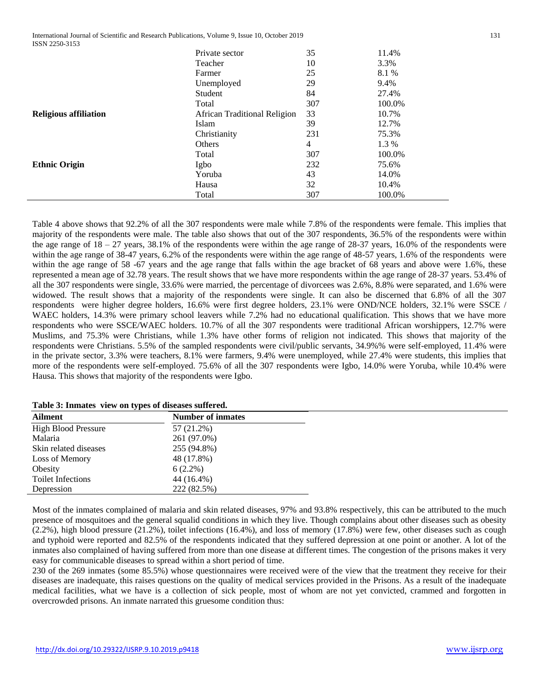International Journal of Scientific and Research Publications, Volume 9, Issue 10, October 2019 131 ISSN 2250-3153

|                              | Private sector               | 35  | 11.4%  |
|------------------------------|------------------------------|-----|--------|
|                              | Teacher                      | 10  | 3.3%   |
|                              | Farmer                       | 25  | 8.1 %  |
|                              | Unemployed                   | 29  | 9.4%   |
|                              | Student                      | 84  | 27.4%  |
|                              | Total                        | 307 | 100.0% |
| <b>Religious affiliation</b> | African Traditional Religion | 33  | 10.7%  |
|                              | Islam                        | 39  | 12.7%  |
|                              | Christianity                 | 231 | 75.3%  |
|                              | Others                       | 4   | 1.3 %  |
|                              | Total                        | 307 | 100.0% |
| <b>Ethnic Origin</b>         | Igbo                         | 232 | 75.6%  |
|                              | Yoruba                       | 43  | 14.0%  |
|                              | Hausa                        | 32  | 10.4%  |
|                              | Total                        | 307 | 100.0% |

Table 4 above shows that 92.2% of all the 307 respondents were male while 7.8% of the respondents were female. This implies that majority of the respondents were male. The table also shows that out of the 307 respondents, 36.5% of the respondents were within the age range of  $18 - 27$  years, 38.1% of the respondents were within the age range of  $28-37$  years, 16.0% of the respondents were within the age range of 38-47 years, 6.2% of the respondents were within the age range of 48-57 years, 1.6% of the respondents were within the age range of 58 -67 years and the age range that falls within the age bracket of 68 years and above were 1.6%, these represented a mean age of 32.78 years. The result shows that we have more respondents within the age range of 28-37 years. 53.4% of all the 307 respondents were single, 33.6% were married, the percentage of divorcees was 2.6%, 8.8% were separated, and 1.6% were widowed. The result shows that a majority of the respondents were single. It can also be discerned that 6.8% of all the 307 respondents were higher degree holders, 16.6% were first degree holders, 23.1% were OND/NCE holders, 32.1% were SSCE / WAEC holders, 14.3% were primary school leavers while 7.2% had no educational qualification. This shows that we have more respondents who were SSCE/WAEC holders. 10.7% of all the 307 respondents were traditional African worshippers, 12.7% were Muslims, and 75.3% were Christians, while 1.3% have other forms of religion not indicated. This shows that majority of the respondents were Christians. 5.5% of the sampled respondents were civil/public servants, 34.9%% were self-employed, 11.4% were in the private sector, 3.3% were teachers, 8.1% were farmers, 9.4% were unemployed, while 27.4% were students, this implies that more of the respondents were self-employed. 75.6% of all the 307 respondents were Igbo, 14.0% were Yoruba, while 10.4% were Hausa. This shows that majority of the respondents were Igbo.

| Table 3: Inmates view on types of diseases suffered. |  |  |  |
|------------------------------------------------------|--|--|--|
|------------------------------------------------------|--|--|--|

| <b>Ailment</b>             | <b>Number of inmates</b> |
|----------------------------|--------------------------|
| <b>High Blood Pressure</b> | 57 (21.2%)               |
| Malaria                    | 261 (97.0%)              |
| Skin related diseases      | 255 (94.8%)              |
| Loss of Memory             | 48 (17.8%)               |
| Obesity                    | $6(2.2\%)$               |
| <b>Toilet Infections</b>   | 44 (16.4%)               |
| Depression                 | 222 (82.5%)              |

Most of the inmates complained of malaria and skin related diseases, 97% and 93.8% respectively, this can be attributed to the much presence of mosquitoes and the general squalid conditions in which they live. Though complains about other diseases such as obesity (2.2%), high blood pressure (21.2%), toilet infections (16.4%), and loss of memory (17.8%) were few, other diseases such as cough and typhoid were reported and 82.5% of the respondents indicated that they suffered depression at one point or another. A lot of the inmates also complained of having suffered from more than one disease at different times. The congestion of the prisons makes it very easy for communicable diseases to spread within a short period of time.

230 of the 269 inmates (some 85.5%) whose questionnaires were received were of the view that the treatment they receive for their diseases are inadequate, this raises questions on the quality of medical services provided in the Prisons. As a result of the inadequate medical facilities, what we have is a collection of sick people, most of whom are not yet convicted, crammed and forgotten in overcrowded prisons. An inmate narrated this gruesome condition thus: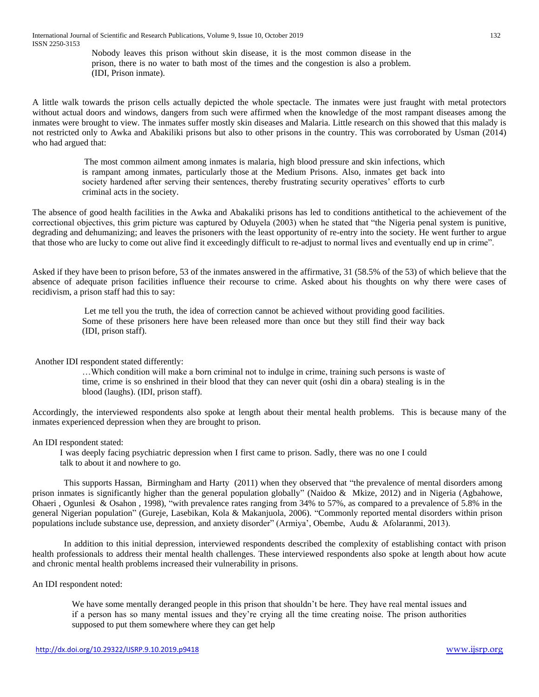Nobody leaves this prison without skin disease, it is the most common disease in the prison, there is no water to bath most of the times and the congestion is also a problem. (IDI, Prison inmate).

A little walk towards the prison cells actually depicted the whole spectacle. The inmates were just fraught with metal protectors without actual doors and windows, dangers from such were affirmed when the knowledge of the most rampant diseases among the inmates were brought to view. The inmates suffer mostly skin diseases and Malaria. Little research on this showed that this malady is not restricted only to Awka and Abakiliki prisons but also to other prisons in the country. This was corroborated by Usman (2014) who had argued that:

> The most common ailment among inmates is malaria, high blood pressure and skin infections, which is rampant among inmates, particularly those at the Medium Prisons. Also, inmates get back into society hardened after serving their sentences, thereby frustrating security operatives' efforts to curb criminal acts in the society.

The absence of good health facilities in the Awka and Abakaliki prisons has led to conditions antithetical to the achievement of the correctional objectives, this grim picture was captured by Oduyela (2003) when he stated that "the Nigeria penal system is punitive, degrading and dehumanizing; and leaves the prisoners with the least opportunity of re-entry into the society. He went further to argue that those who are lucky to come out alive find it exceedingly difficult to re-adjust to normal lives and eventually end up in crime".

Asked if they have been to prison before, 53 of the inmates answered in the affirmative, 31 (58.5% of the 53) of which believe that the absence of adequate prison facilities influence their recourse to crime. Asked about his thoughts on why there were cases of recidivism, a prison staff had this to say:

> Let me tell you the truth, the idea of correction cannot be achieved without providing good facilities. Some of these prisoners here have been released more than once but they still find their way back (IDI, prison staff).

Another IDI respondent stated differently:

…Which condition will make a born criminal not to indulge in crime, training such persons is waste of time, crime is so enshrined in their blood that they can never quit (oshi din a obara) stealing is in the blood (laughs). (IDI, prison staff).

Accordingly, the interviewed respondents also spoke at length about their mental health problems. This is because many of the inmates experienced depression when they are brought to prison.

An IDI respondent stated:

I was deeply facing psychiatric depression when I first came to prison. Sadly, there was no one I could talk to about it and nowhere to go.

This supports Hassan, Birmingham and Harty (2011) when they observed that "the prevalence of mental disorders among prison inmates is significantly higher than the general population globally" (Naidoo & Mkize, 2012) and in Nigeria (Agbahowe, Ohaeri , Ogunlesi & Osahon , 1998), "with prevalence rates ranging from 34% to 57%, as compared to a prevalence of 5.8% in the general Nigerian population" (Gureje, Lasebikan, Kola & Makanjuola, 2006). "Commonly reported mental disorders within prison populations include substance use, depression, and anxiety disorder" (Armiya', Obembe, Audu & Afolaranmi, 2013).

In addition to this initial depression, interviewed respondents described the complexity of establishing contact with prison health professionals to address their mental health challenges. These interviewed respondents also spoke at length about how acute and chronic mental health problems increased their vulnerability in prisons.

An IDI respondent noted:

We have some mentally deranged people in this prison that shouldn't be here. They have real mental issues and if a person has so many mental issues and they're crying all the time creating noise. The prison authorities supposed to put them somewhere where they can get help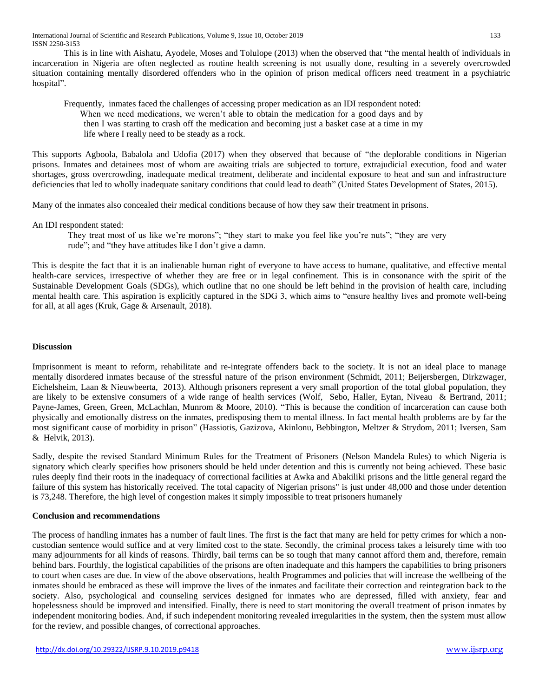International Journal of Scientific and Research Publications, Volume 9, Issue 10, October 2019 133 ISSN 2250-3153

This is in line with Aishatu, Ayodele, Moses and Tolulope (2013) when the observed that "the mental health of individuals in incarceration in Nigeria are often neglected as routine health screening is not usually done, resulting in a severely overcrowded situation containing mentally disordered offenders who in the opinion of prison medical officers need treatment in a psychiatric hospital".

Frequently, inmates faced the challenges of accessing proper medication as an IDI respondent noted: When we need medications, we weren't able to obtain the medication for a good days and by then I was starting to crash off the medication and becoming just a basket case at a time in my life where I really need to be steady as a rock.

This supports Agboola, Babalola and Udofia (2017) when they observed that because of "the deplorable conditions in Nigerian prisons. Inmates and detainees most of whom are awaiting trials are subjected to torture, extrajudicial execution, food and water shortages, gross overcrowding, inadequate medical treatment, deliberate and incidental exposure to heat and sun and infrastructure deficiencies that led to wholly inadequate sanitary conditions that could lead to death" (United States Development of States, 2015).

Many of the inmates also concealed their medical conditions because of how they saw their treatment in prisons.

An IDI respondent stated:

They treat most of us like we're morons"; "they start to make you feel like you're nuts"; "they are very rude"; and "they have attitudes like I don't give a damn.

This is despite the fact that it is an inalienable human right of everyone to have access to humane, qualitative, and effective mental health-care services, irrespective of whether they are free or in legal confinement. This is in consonance with the spirit of the Sustainable Development Goals (SDGs), which outline that no one should be left behind in the provision of health care, including mental health care. This aspiration is explicitly captured in the SDG 3, which aims to "ensure healthy lives and promote well-being for all, at all ages (Kruk, Gage & Arsenault, 2018).

## **Discussion**

Imprisonment is meant to reform, rehabilitate and re-integrate offenders back to the society. It is not an ideal place to manage mentally disordered inmates because of the stressful nature of the prison environment (Schmidt, 2011; Beijersbergen, Dirkzwager, Eichelsheim, Laan & Nieuwbeerta, 2013). Although prisoners represent a very small proportion of the total global population, they are likely to be extensive consumers of a wide range of health services (Wolf, Sebo, Haller, Eytan, Niveau & Bertrand, 2011; Payne-James, Green, Green, McLachlan, Munrom & Moore, 2010). "This is because the condition of incarceration can cause both physically and emotionally distress on the inmates, predisposing them to mental illness. In fact mental health problems are by far the most significant cause of morbidity in prison" (Hassiotis, Gazizova, Akinlonu, Bebbington, Meltzer & Strydom, 2011; Iversen, Sam & Helvik, 2013).

Sadly, despite the revised Standard Minimum Rules for the Treatment of Prisoners (Nelson Mandela Rules) to which Nigeria is signatory which clearly specifies how prisoners should be held under detention and this is currently not being achieved. These basic rules deeply find their roots in the inadequacy of correctional facilities at Awka and Abakiliki prisons and the little general regard the failure of this system has historically received. The total capacity of Nigerian prisons" is just under 48,000 and those under detention is 73,248. Therefore, the high level of congestion makes it simply impossible to treat prisoners humanely

### **Conclusion and recommendations**

The process of handling inmates has a number of fault lines. The first is the fact that many are held for petty crimes for which a noncustodian sentence would suffice and at very limited cost to the state. Secondly, the criminal process takes a leisurely time with too many adjournments for all kinds of reasons. Thirdly, bail terms can be so tough that many cannot afford them and, therefore, remain behind bars. Fourthly, the logistical capabilities of the prisons are often inadequate and this hampers the capabilities to bring prisoners to court when cases are due. In view of the above observations, health Programmes and policies that will increase the wellbeing of the inmates should be embraced as these will improve the lives of the inmates and facilitate their correction and reintegration back to the society. Also, psychological and counseling services designed for inmates who are depressed, filled with anxiety, fear and hopelessness should be improved and intensified. Finally, there is need to start monitoring the overall treatment of prison inmates by independent monitoring bodies. And, if such independent monitoring revealed irregularities in the system, then the system must allow for the review, and possible changes, of correctional approaches.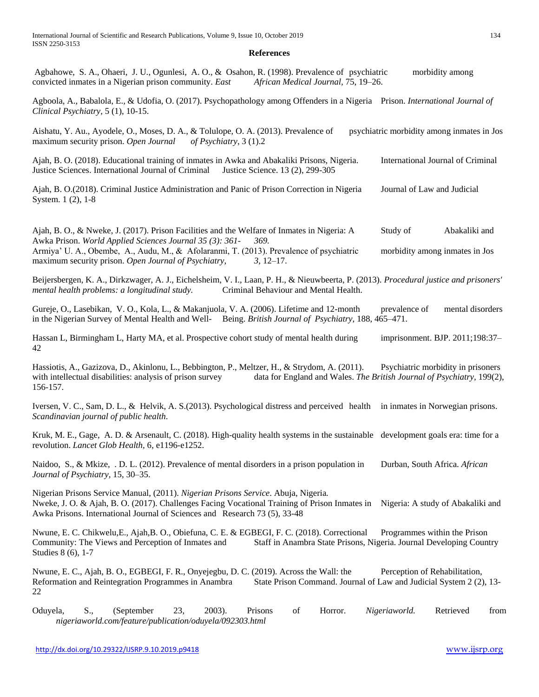#### **References**

| Agbahowe, S. A., Ohaeri, J. U., Ogunlesi, A. O., & Osahon, R. (1998). Prevalence of psychiatric<br>convicted inmates in a Nigerian prison community. East<br>African Medical Journal, 75, 19-26.                                                                                                                                  | morbidity among                                                                                              |
|-----------------------------------------------------------------------------------------------------------------------------------------------------------------------------------------------------------------------------------------------------------------------------------------------------------------------------------|--------------------------------------------------------------------------------------------------------------|
| Agboola, A., Babalola, E., & Udofia, O. (2017). Psychopathology among Offenders in a Nigeria Prison. International Journal of<br>Clinical Psychiatry, 5 (1), 10-15.                                                                                                                                                               |                                                                                                              |
| Aishatu, Y. Au., Ayodele, O., Moses, D. A., & Tolulope, O. A. (2013). Prevalence of<br>maximum security prison. Open Journal<br>of Psychiatry, $3(1).2$                                                                                                                                                                           | psychiatric morbidity among inmates in Jos                                                                   |
| Ajah, B. O. (2018). Educational training of inmates in Awka and Abakaliki Prisons, Nigeria.<br>Justice Sciences. International Journal of Criminal<br>Justice Science. 13 (2), 299-305                                                                                                                                            | International Journal of Criminal                                                                            |
| Ajah, B. O.(2018). Criminal Justice Administration and Panic of Prison Correction in Nigeria<br>System. 1 (2), 1-8                                                                                                                                                                                                                | Journal of Law and Judicial                                                                                  |
| Ajah, B. O., & Nweke, J. (2017). Prison Facilities and the Welfare of Inmates in Nigeria: A<br>Awka Prison. World Applied Sciences Journal 35 (3): 361-<br>369.<br>Armiya' U. A., Obembe, A., Audu, M., & Afolaranmi, T. (2013). Prevalence of psychiatric<br>maximum security prison. Open Journal of Psychiatry,<br>$3, 12-17.$ | Study of<br>Abakaliki and<br>morbidity among inmates in Jos                                                  |
| Beijersbergen, K. A., Dirkzwager, A. J., Eichelsheim, V. I., Laan, P. H., & Nieuwbeerta, P. (2013). Procedural justice and prisoners'<br>mental health problems: a longitudinal study.<br>Criminal Behaviour and Mental Health.                                                                                                   |                                                                                                              |
| Gureje, O., Lasebikan, V. O., Kola, L., & Makanjuola, V. A. (2006). Lifetime and 12-month<br>in the Nigerian Survey of Mental Health and Well-<br>Being. British Journal of Psychiatry, 188, 465–471.                                                                                                                             | prevalence of<br>mental disorders                                                                            |
| Hassan L, Birmingham L, Harty MA, et al. Prospective cohort study of mental health during<br>42                                                                                                                                                                                                                                   | imprisonment. BJP. 2011;198:37-                                                                              |
| Hassiotis, A., Gazizova, D., Akinlonu, L., Bebbington, P., Meltzer, H., & Strydom, A. (2011).<br>with intellectual disabilities: analysis of prison survey<br>156-157.                                                                                                                                                            | Psychiatric morbidity in prisoners<br>data for England and Wales. The British Journal of Psychiatry, 199(2), |
| Iversen, V. C., Sam, D. L., & Helvik, A. S. (2013). Psychological distress and perceived health in inmates in Norwegian prisons.<br>Scandinavian journal of public health.                                                                                                                                                        |                                                                                                              |
| Kruk, M. E., Gage, A. D. & Arsenault, C. (2018). High-quality health systems in the sustainable development goals era: time for a<br>revolution. Lancet Glob Health, 6, e1196-e1252.                                                                                                                                              |                                                                                                              |
| Naidoo, S., & Mkize, . D. L. (2012). Prevalence of mental disorders in a prison population in<br>Journal of Psychiatry, 15, 30-35.                                                                                                                                                                                                | Durban, South Africa. African                                                                                |
| Nigerian Prisons Service Manual, (2011). Nigerian Prisons Service. Abuja, Nigeria.<br>Nweke, J. O. & Ajah, B. O. (2017). Challenges Facing Vocational Training of Prison Inmates in Nigeria: A study of Abakaliki and<br>Awka Prisons. International Journal of Sciences and Research 73 (5), 33-48                               |                                                                                                              |
| Nwune, E. C. Chikwelu, E., Ajah, B. O., Obiefuna, C. E. & EGBEGI, F. C. (2018). Correctional<br>Community: The Views and Perception of Inmates and<br>Staff in Anambra State Prisons, Nigeria. Journal Developing Country<br>Studies 8 (6), 1-7                                                                                   | Programmes within the Prison                                                                                 |
|                                                                                                                                                                                                                                                                                                                                   |                                                                                                              |

Nwune, E. C., Ajah, B. O., EGBEGI, F. R., Onyejegbu, D. C. (2019). Across the Wall: the Perception of Rehabilitation, Reformation and Reintegration Programmes in Anambra State Prison Command. Journal of Law and Judicial System 2 (2), 13- 22

Oduyela, S., (September 23, 2003). Prisons of Horror. *Nigeriaworld.* Retrieved from *nigeriaworld.com/feature/publication/oduyela/092303.html*